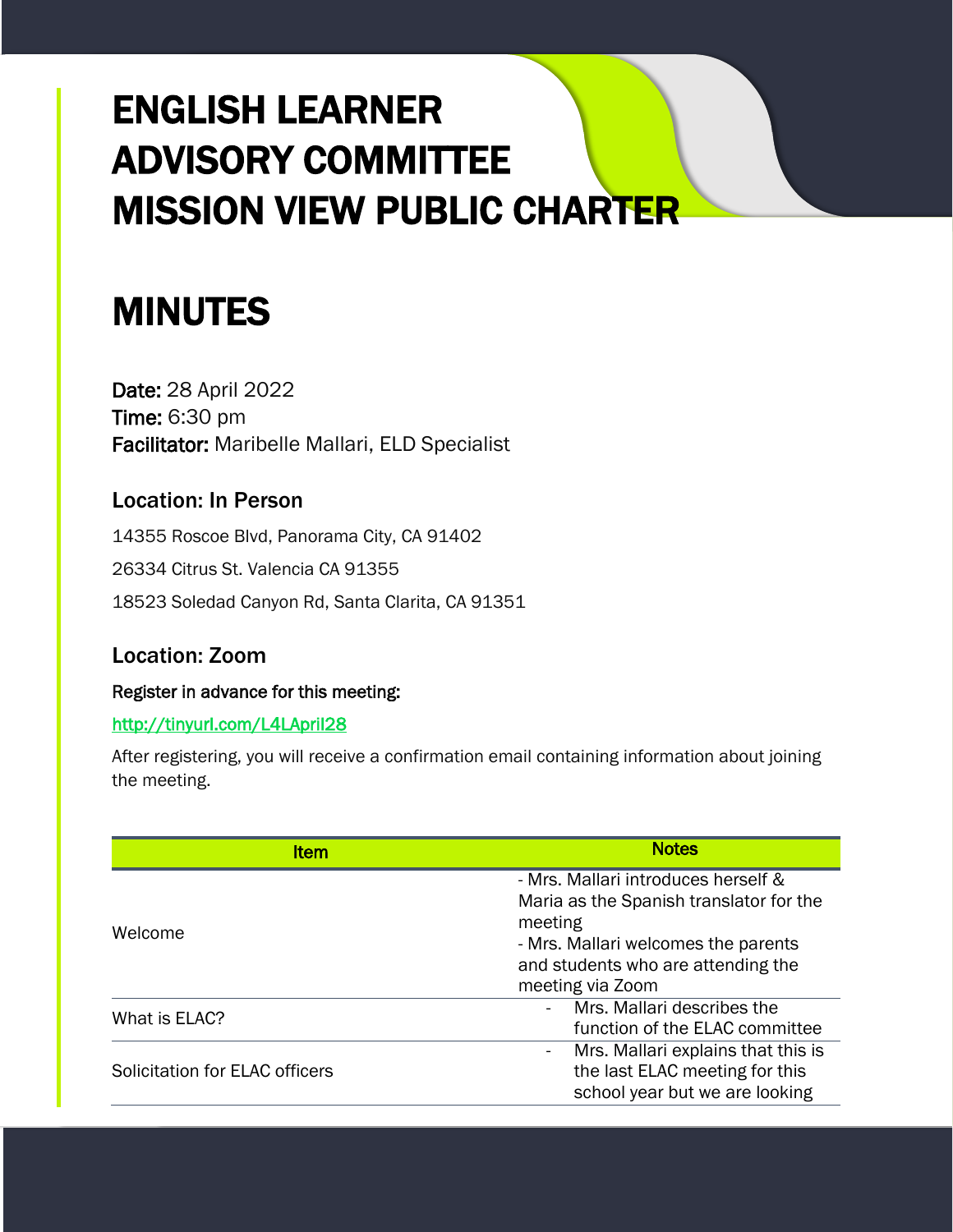# ENGLISH LEARNER ADVISORY COMMITTEE MISSION VIEW PUBLIC CHARTER

## MINUTES

Date: 28 April 2022 Time: 6:30 pm Facilitator: Maribelle Mallari, ELD Specialist

### Location: In Person

14355 Roscoe Blvd, Panorama City, CA 91402 26334 Citrus St. Valencia CA 91355 18523 Soledad Canyon Rd, Santa Clarita, CA 91351

## Location: Zoom

#### Register in advance for this meeting:

#### <http://tinyurl.com/L4LApril28>

After registering, you will receive a confirmation email containing information about joining the meeting.

| Item                           | <b>Notes</b>                                                                                                                                                                               |
|--------------------------------|--------------------------------------------------------------------------------------------------------------------------------------------------------------------------------------------|
| Welcome                        | - Mrs. Mallari introduces herself &<br>Maria as the Spanish translator for the<br>meeting<br>- Mrs. Mallari welcomes the parents<br>and students who are attending the<br>meeting via Zoom |
| What is ELAC?                  | Mrs. Mallari describes the<br>function of the ELAC committee                                                                                                                               |
| Solicitation for ELAC officers | Mrs. Mallari explains that this is<br>$\sim$ $-$<br>the last ELAC meeting for this<br>school year but we are looking                                                                       |